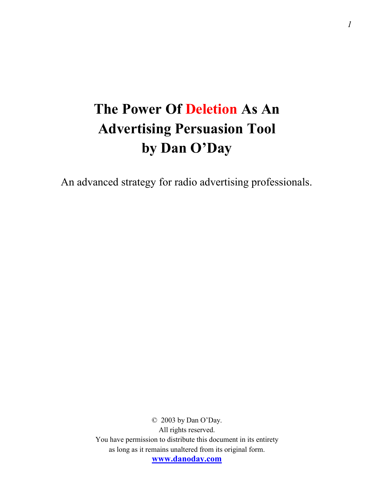# **The Power Of Deletion As An Advertising Persuasion Tool by Dan O'Day**

An advanced strategy for radio advertising professionals.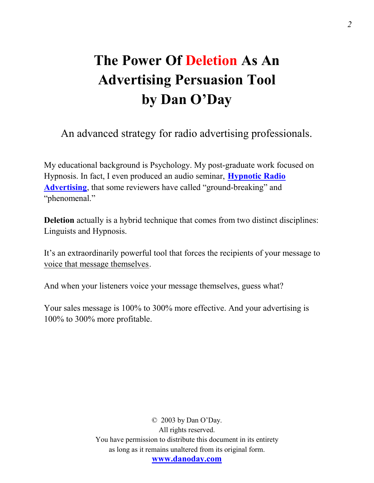# **The Power Of Deletion As An Advertising Persuasion Tool by Dan O'Day**

An advanced strategy for radio advertising professionals.

My educational background is Psychology. My post-graduate work focused on Hypnosis. In fact, I even produced an audio seminar, **[Hypnotic Radio](http://www.danoday.com/cgi-main/offer.cgi?desc=478&refpage=delete)  [Advertising](http://www.danoday.com/cgi-main/offer.cgi?desc=478&refpage=delete)**, that some reviewers have called "ground-breaking" and "phenomenal."

**Deletion** actually is a hybrid technique that comes from two distinct disciplines: Linguists and Hypnosis.

It's an extraordinarily powerful tool that forces the recipients of your message to voice that message themselves.

And when your listeners voice your message themselves, guess what?

Your sales message is 100% to 300% more effective. And your advertising is 100% to 300% more profitable.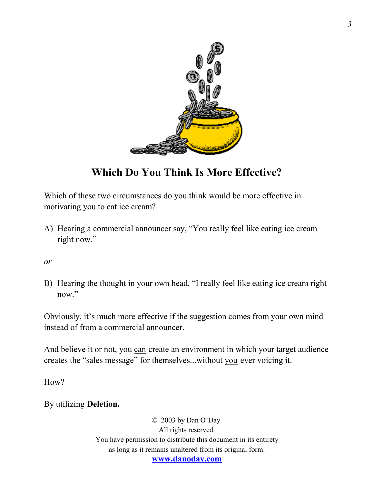

## **Which Do You Think Is More Effective?**

Which of these two circumstances do you think would be more effective in motivating you to eat ice cream?

A) Hearing a commercial announcer say, "You really feel like eating ice cream right now."

*or*

B) Hearing the thought in your own head, "I really feel like eating ice cream right now."

Obviously, it's much more effective if the suggestion comes from your own mind instead of from a commercial announcer.

And believe it or not, you can create an environment in which your target audience creates the "sales message" for themselves...without you ever voicing it.

How?

By utilizing **Deletion.**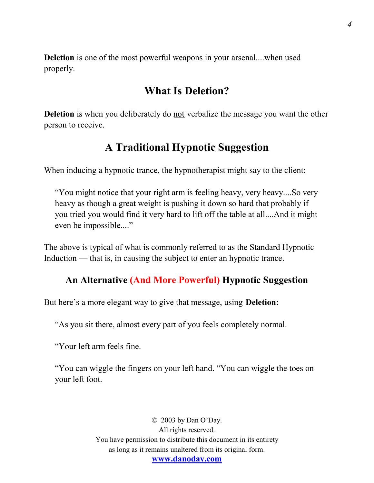**Deletion** is one of the most powerful weapons in your arsenal....when used properly.

## **What Is Deletion?**

**Deletion** is when you deliberately do not verbalize the message you want the other person to receive.

## **A Traditional Hypnotic Suggestion**

When inducing a hypnotic trance, the hypnotherapist might say to the client:

"You might notice that your right arm is feeling heavy, very heavy....So very heavy as though a great weight is pushing it down so hard that probably if you tried you would find it very hard to lift off the table at all....And it might even be impossible...."

The above is typical of what is commonly referred to as the Standard Hypnotic Induction — that is, in causing the subject to enter an hypnotic trance.

#### **An Alternative (And More Powerful) Hypnotic Suggestion**

But here's a more elegant way to give that message, using **Deletion:** 

"As you sit there, almost every part of you feels completely normal.

"Your left arm feels fine.

"You can wiggle the fingers on your left hand. "You can wiggle the toes on your left foot.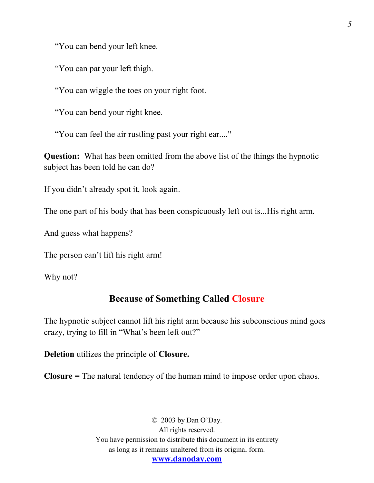"You can bend your left knee.

"You can pat your left thigh.

"You can wiggle the toes on your right foot.

"You can bend your right knee.

"You can feel the air rustling past your right ear...."

**Question:** What has been omitted from the above list of the things the hypnotic subject has been told he can do?

If you didn't already spot it, look again.

The one part of his body that has been conspicuously left out is...His right arm.

And guess what happens?

The person can't lift his right arm!

Why not?

#### **Because of Something Called Closure**

The hypnotic subject cannot lift his right arm because his subconscious mind goes crazy, trying to fill in "What's been left out?"

**Deletion** utilizes the principle of **Closure.**

**Closure =** The natural tendency of the human mind to impose order upon chaos.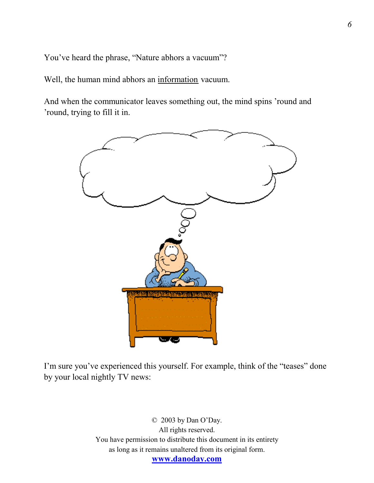You've heard the phrase, "Nature abhors a vacuum"?

Well, the human mind abhors an information vacuum.

And when the communicator leaves something out, the mind spins 'round and 'round, trying to fill it in.



I'm sure you've experienced this yourself. For example, think of the "teases" done by your local nightly TV news: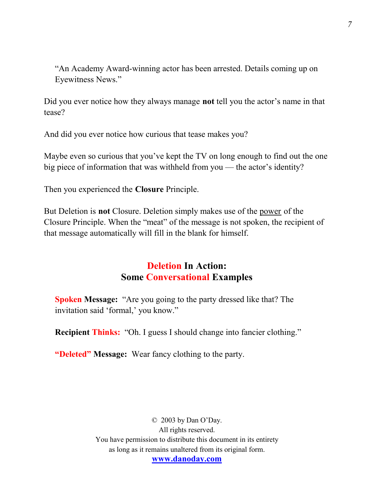"An Academy Award-winning actor has been arrested. Details coming up on Eyewitness News."

Did you ever notice how they always manage **not** tell you the actor's name in that tease?

And did you ever notice how curious that tease makes you?

Maybe even so curious that you've kept the TV on long enough to find out the one big piece of information that was withheld from you — the actor's identity?

Then you experienced the **Closure** Principle.

But Deletion is **not** Closure. Deletion simply makes use of the power of the Closure Principle. When the "meat" of the message is not spoken, the recipient of that message automatically will fill in the blank for himself.

### **Deletion In Action: Some Conversational Examples**

**Spoken Message:** "Are you going to the party dressed like that? The invitation said 'formal,' you know."

**Recipient Thinks:** "Oh. I guess I should change into fancier clothing."

**"Deleted" Message:** Wear fancy clothing to the party.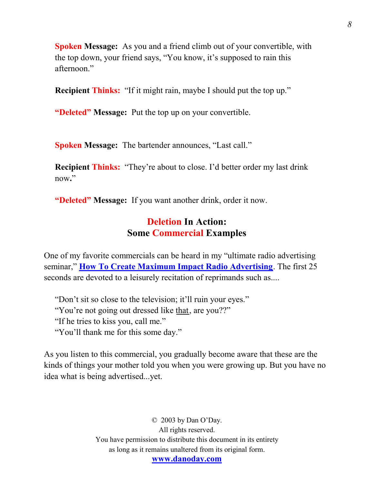**Spoken Message:** As you and a friend climb out of your convertible, with the top down, your friend says, "You know, it's supposed to rain this afternoon."

**Recipient Thinks:** "If it might rain, maybe I should put the top up."

**"Deleted" Message:** Put the top up on your convertible.

**Spoken Message:** The bartender announces, "Last call."

**Recipient Thinks:** "They're about to close. I'd better order my last drink now**.**"

**"Deleted" Message:** If you want another drink, order it now.

### **Deletion In Action: Some Commercial Examples**

One of my favorite commercials can be heard in my "ultimate radio advertising seminar," **[How To Create Maximum Impact Radio Advertising](http://www.danoday.com/cgi-main/offer.cgi?desc=484&refpage=delete)**. The first 25 seconds are devoted to a leisurely recitation of reprimands such as....

"Don't sit so close to the television; it'll ruin your eyes." "You're not going out dressed like that, are you??" "If he tries to kiss you, call me." "You'll thank me for this some day."

As you listen to this commercial, you gradually become aware that these are the kinds of things your mother told you when you were growing up. But you have no idea what is being advertised...yet.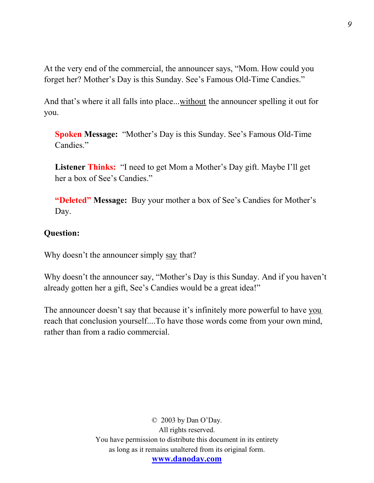At the very end of the commercial, the announcer says, "Mom. How could you forget her? Mother's Day is this Sunday. See's Famous Old-Time Candies."

And that's where it all falls into place...without the announcer spelling it out for you.

**Spoken Message:** "Mother's Day is this Sunday. See's Famous Old-Time Candies."

**Listener Thinks:** "I need to get Mom a Mother's Day gift. Maybe I'll get her a box of See's Candies."

**"Deleted" Message:** Buy your mother a box of See's Candies for Mother's Day.

#### **Question:**

Why doesn't the announcer simply say that?

Why doesn't the announcer say, "Mother's Day is this Sunday. And if you haven't already gotten her a gift, See's Candies would be a great idea!"

The announcer doesn't say that because it's infinitely more powerful to have you reach that conclusion yourself....To have those words come from your own mind, rather than from a radio commercial.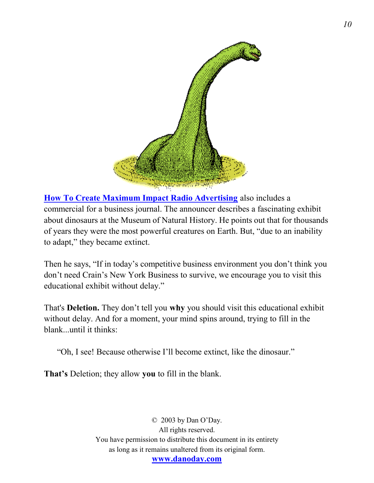

**[How To Create Maximum Impact Radio Advertising](http://www.danoday.com/cgi-main/offer.cgi?desc=484&refpage=delete)** also includes a commercial for a business journal. The announcer describes a fascinating exhibit about dinosaurs at the Museum of Natural History. He points out that for thousands of years they were the most powerful creatures on Earth. But, "due to an inability to adapt," they became extinct.

Then he says, "If in today's competitive business environment you don't think you don't need Crain's New York Business to survive, we encourage you to visit this educational exhibit without delay."

That's **Deletion.** They don't tell you **why** you should visit this educational exhibit without delay. And for a moment, your mind spins around, trying to fill in the blank...until it thinks:

"Oh, I see! Because otherwise I'll become extinct, like the dinosaur."

**That's** Deletion; they allow **you** to fill in the blank.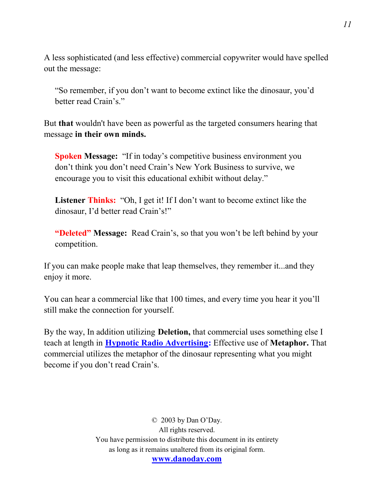A less sophisticated (and less effective) commercial copywriter would have spelled out the message:

"So remember, if you don't want to become extinct like the dinosaur, you'd better read Crain's."

But **that** wouldn't have been as powerful as the targeted consumers hearing that message **in their own minds.**

**Spoken Message:** "If in today's competitive business environment you don't think you don't need Crain's New York Business to survive, we encourage you to visit this educational exhibit without delay."

**Listener Thinks:** "Oh, I get it! If I don't want to become extinct like the dinosaur, I'd better read Crain's!"

**"Deleted" Message:** Read Crain's, so that you won't be left behind by your competition.

If you can make people make that leap themselves, they remember it...and they enjoy it more.

You can hear a commercial like that 100 times, and every time you hear it you'll still make the connection for yourself.

By the way, In addition utilizing **Deletion,** that commercial uses something else I teach at length in **[Hypnotic Radio Advertising:](http://www.danoday.com/cgi-main/offer.cgi?desc=478&refpage=delete)** Effective use of **Metaphor.** That commercial utilizes the metaphor of the dinosaur representing what you might become if you don't read Crain's.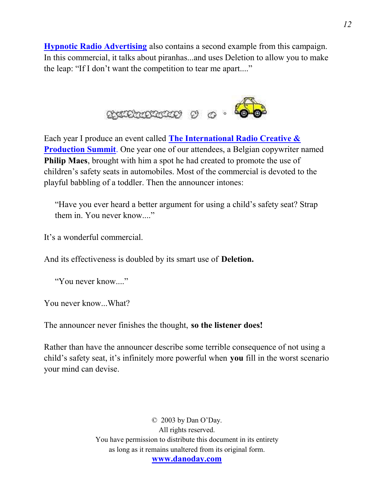**[Hypnotic Radio Advertising](http://www.danoday.com/cgi-main/offer.cgi?desc=478&refpage=delete)** also contains a second example from this campaign. In this commercial, it talks about piranhas...and uses Deletion to allow you to make the leap: "If I don't want the competition to tear me apart...."



Each year I produce an event called **[The International Radio Creative &](http://www.danoday.com/summit.shtml)  [Production Summit](http://www.danoday.com/summit.shtml)**. One year one of our attendees, a Belgian copywriter named **Philip Maes**, brought with him a spot he had created to promote the use of children's safety seats in automobiles. Most of the commercial is devoted to the playful babbling of a toddler. Then the announcer intones:

"Have you ever heard a better argument for using a child's safety seat? Strap them in. You never know...."

It's a wonderful commercial.

And its effectiveness is doubled by its smart use of **Deletion.**

"You never know...."

You never know...What?

The announcer never finishes the thought, **so the listener does!**

Rather than have the announcer describe some terrible consequence of not using a child's safety seat, it's infinitely more powerful when **you** fill in the worst scenario your mind can devise.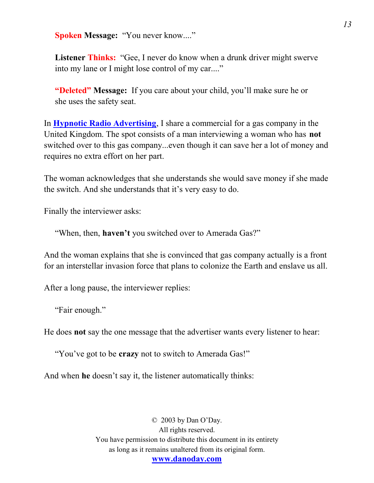**Spoken Message: "You never know...."** 

Listener Thinks: "Gee, I never do know when a drunk driver might swerve into my lane or I might lose control of my car...."

**"Deleted" Message:** If you care about your child, you'll make sure he or she uses the safety seat.

In **[Hypnotic Radio Advertising](http://www.danoday.com/cgi-main/offer.cgi?desc=478&refpage=delete)**, I share a commercial for a gas company in the United Kingdom. The spot consists of a man interviewing a woman who has **not**  switched over to this gas company...even though it can save her a lot of money and requires no extra effort on her part.

The woman acknowledges that she understands she would save money if she made the switch. And she understands that it's very easy to do.

Finally the interviewer asks:

"When, then, **haven't** you switched over to Amerada Gas?"

And the woman explains that she is convinced that gas company actually is a front for an interstellar invasion force that plans to colonize the Earth and enslave us all.

After a long pause, the interviewer replies:

"Fair enough."

He does **not** say the one message that the advertiser wants every listener to hear:

"You've got to be **crazy** not to switch to Amerada Gas!"

And when **he** doesn't say it, the listener automatically thinks: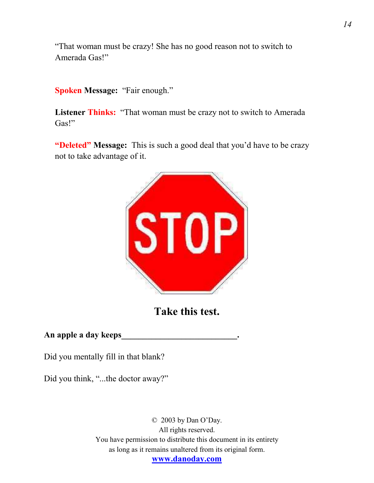"That woman must be crazy! She has no good reason not to switch to Amerada Gas!"

**Spoken Message:** "Fair enough."

Listener Thinks: "That woman must be crazy not to switch to Amerada Gas!"

**"Deleted" Message:** This is such a good deal that you'd have to be crazy not to take advantage of it.



**Take this test.**

#### **An apple a day keeps\_\_\_\_\_\_\_\_\_\_\_\_\_\_\_\_\_\_\_\_\_\_\_\_\_\_\_.**

Did you mentally fill in that blank?

Did you think, "...the doctor away?"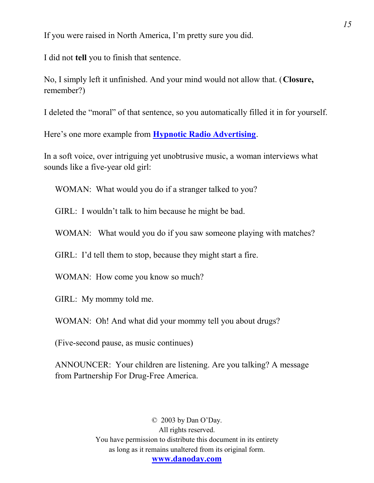If you were raised in North America, I'm pretty sure you did.

I did not **tell** you to finish that sentence.

No, I simply left it unfinished. And your mind would not allow that. (**Closure,** remember?)

I deleted the "moral" of that sentence, so you automatically filled it in for yourself.

Here's one more example from **[Hypnotic Radio Advertising](http://www.danoday.com/cgi-main/offer.cgi?desc=478&refpage=delete)**.

In a soft voice, over intriguing yet unobtrusive music, a woman interviews what sounds like a five-year old girl:

WOMAN: What would you do if a stranger talked to you?

GIRL: I wouldn't talk to him because he might be bad.

WOMAN: What would you do if you saw someone playing with matches?

GIRL: I'd tell them to stop, because they might start a fire.

WOMAN: How come you know so much?

GIRL: My mommy told me.

WOMAN: Oh! And what did your mommy tell you about drugs?

(Five-second pause, as music continues)

ANNOUNCER: Your children are listening. Are you talking? A message from Partnership For Drug-Free America.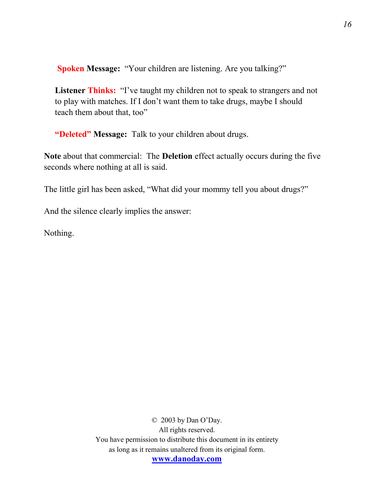**Spoken Message:** "Your children are listening. Are you talking?"

**Listener Thinks:** "I've taught my children not to speak to strangers and not to play with matches. If I don't want them to take drugs, maybe I should teach them about that, too"

**"Deleted" Message:** Talk to your children about drugs.

**Note** about that commercial: The **Deletion** effect actually occurs during the five seconds where nothing at all is said.

The little girl has been asked, "What did your mommy tell you about drugs?"

And the silence clearly implies the answer:

Nothing.